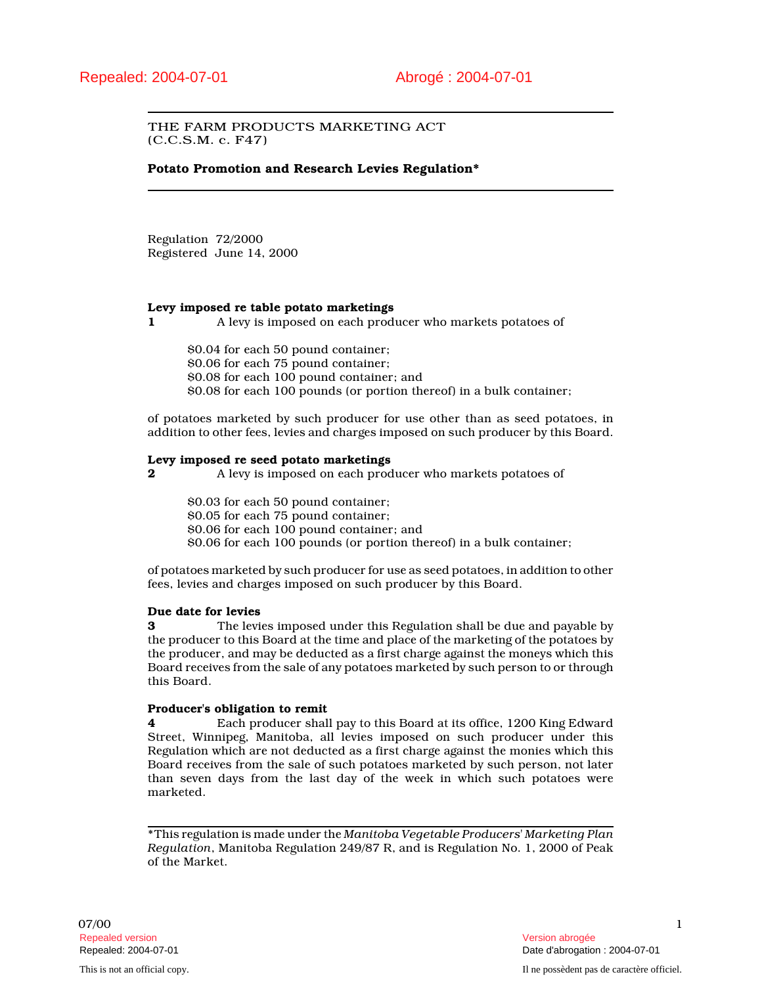# THE FARM PRODUCTS MARKETING ACT (C.C.S.M. c. F47)

# **Potato Promotion and Research Levies Regulation\***

Regulation 72/2000 Registered June 14, 2000

## **Levy imposed re table potato marketings**

**1** A levy is imposed on each producer who markets potatoes of

\$0.04 for each 50 pound container; \$0.06 for each 75 pound container; \$0.08 for each 100 pound container; and \$0.08 for each 100 pounds (or portion thereof) in a bulk container;

of potatoes marketed by such producer for use other than as seed potatoes, in addition to other fees, levies and charges imposed on such producer by this Board.

### **Levy imposed re seed potato marketings**

**2** A levy is imposed on each producer who markets potatoes of

\$0.03 for each 50 pound container; \$0.05 for each 75 pound container; \$0.06 for each 100 pound container; and

\$0.06 for each 100 pounds (or portion thereof) in a bulk container;

of potatoes marketed by such producer for use as seed potatoes, in addition to other fees, levies and charges imposed on such producer by this Board.

# **Due date for levies**

**3** The levies imposed under this Regulation shall be due and payable by the producer to this Board at the time and place of the marketing of the potatoes by the producer, and may be deducted as a first charge against the moneys which this Board receives from the sale of any potatoes marketed by such person to or through this Board.

### **Producer's obligation to remit**

**4** Each producer shall pay to this Board at its office, 1200 King Edward Street, Winnipeg, Manitoba, all levies imposed on such producer under this Regulation which are not deducted as a first charge against the monies which this Board receives from the sale of such potatoes marketed by such person, not later than seven days from the last day of the week in which such potatoes were marketed.

\*This regulation is made under the *Manitoba Vegetable Producers' Marketing Plan Regulation*, Manitoba Regulation 249/87 R, and is Regulation No. 1, 2000 of Peak of the Market.